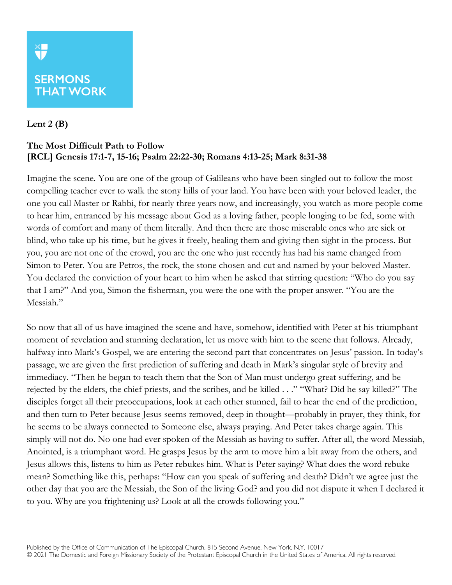## **SERMONS THAT WORK**

## **Lent 2 (B)**

## **The Most Difficult Path to Follow [RCL] Genesis 17:1-7, 15-16; Psalm 22:22-30; Romans 4:13-25; Mark 8:31-38**

Imagine the scene. You are one of the group of Galileans who have been singled out to follow the most compelling teacher ever to walk the stony hills of your land. You have been with your beloved leader, the one you call Master or Rabbi, for nearly three years now, and increasingly, you watch as more people come to hear him, entranced by his message about God as a loving father, people longing to be fed, some with words of comfort and many of them literally. And then there are those miserable ones who are sick or blind, who take up his time, but he gives it freely, healing them and giving then sight in the process. But you, you are not one of the crowd, you are the one who just recently has had his name changed from Simon to Peter. You are Petros, the rock, the stone chosen and cut and named by your beloved Master. You declared the conviction of your heart to him when he asked that stirring question: "Who do you say that I am?" And you, Simon the fisherman, you were the one with the proper answer. "You are the Messiah."

So now that all of us have imagined the scene and have, somehow, identified with Peter at his triumphant moment of revelation and stunning declaration, let us move with him to the scene that follows. Already, halfway into Mark's Gospel, we are entering the second part that concentrates on Jesus' passion. In today's passage, we are given the first prediction of suffering and death in Mark's singular style of brevity and immediacy. "Then he began to teach them that the Son of Man must undergo great suffering, and be rejected by the elders, the chief priests, and the scribes, and be killed . . ." "What? Did he say killed?" The disciples forget all their preoccupations, look at each other stunned, fail to hear the end of the prediction, and then turn to Peter because Jesus seems removed, deep in thought—probably in prayer, they think, for he seems to be always connected to Someone else, always praying. And Peter takes charge again. This simply will not do. No one had ever spoken of the Messiah as having to suffer. After all, the word Messiah, Anointed, is a triumphant word. He grasps Jesus by the arm to move him a bit away from the others, and Jesus allows this, listens to him as Peter rebukes him. What is Peter saying? What does the word rebuke mean? Something like this, perhaps: "How can you speak of suffering and death? Didn't we agree just the other day that you are the Messiah, the Son of the living God? and you did not dispute it when I declared it to you. Why are you frightening us? Look at all the crowds following you."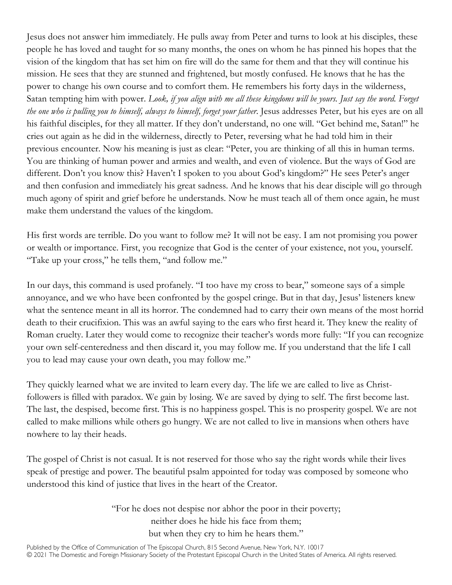Jesus does not answer him immediately. He pulls away from Peter and turns to look at his disciples, these people he has loved and taught for so many months, the ones on whom he has pinned his hopes that the vision of the kingdom that has set him on fire will do the same for them and that they will continue his mission. He sees that they are stunned and frightened, but mostly confused. He knows that he has the power to change his own course and to comfort them. He remembers his forty days in the wilderness, Satan tempting him with power. *Look, if you align with me all these kingdoms will be yours. Just say the word. Forget the one who is pulling you to himself, always to himself, forget your father*. Jesus addresses Peter, but his eyes are on all his faithful disciples, for they all matter. If they don't understand, no one will. "Get behind me, Satan!" he cries out again as he did in the wilderness, directly to Peter, reversing what he had told him in their previous encounter. Now his meaning is just as clear: "Peter, you are thinking of all this in human terms. You are thinking of human power and armies and wealth, and even of violence. But the ways of God are different. Don't you know this? Haven't I spoken to you about God's kingdom?" He sees Peter's anger and then confusion and immediately his great sadness. And he knows that his dear disciple will go through much agony of spirit and grief before he understands. Now he must teach all of them once again, he must make them understand the values of the kingdom.

His first words are terrible. Do you want to follow me? It will not be easy. I am not promising you power or wealth or importance. First, you recognize that God is the center of your existence, not you, yourself. "Take up your cross," he tells them, "and follow me."

In our days, this command is used profanely. "I too have my cross to bear," someone says of a simple annoyance, and we who have been confronted by the gospel cringe. But in that day, Jesus' listeners knew what the sentence meant in all its horror. The condemned had to carry their own means of the most horrid death to their crucifixion. This was an awful saying to the ears who first heard it. They knew the reality of Roman cruelty. Later they would come to recognize their teacher's words more fully: "If you can recognize your own self-centeredness and then discard it, you may follow me. If you understand that the life I call you to lead may cause your own death, you may follow me."

They quickly learned what we are invited to learn every day. The life we are called to live as Christfollowers is filled with paradox. We gain by losing. We are saved by dying to self. The first become last. The last, the despised, become first. This is no happiness gospel. This is no prosperity gospel. We are not called to make millions while others go hungry. We are not called to live in mansions when others have nowhere to lay their heads.

The gospel of Christ is not casual. It is not reserved for those who say the right words while their lives speak of prestige and power. The beautiful psalm appointed for today was composed by someone who understood this kind of justice that lives in the heart of the Creator.

> "For he does not despise nor abhor the poor in their poverty; neither does he hide his face from them; but when they cry to him he hears them."